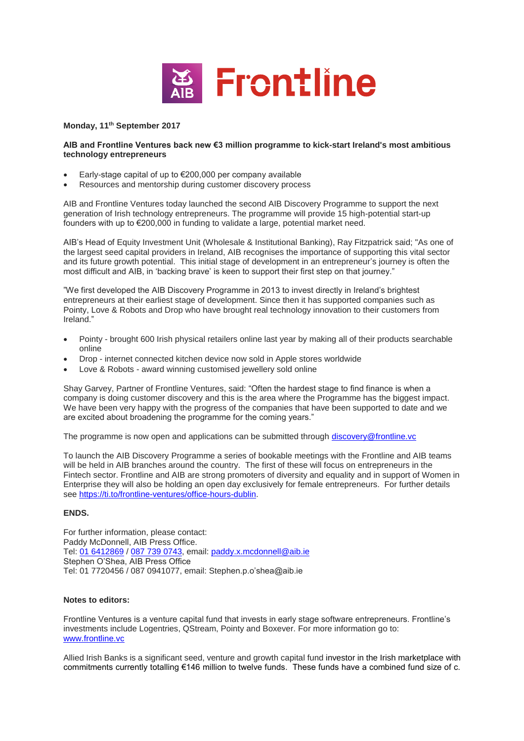

## **Monday, 11th September 2017**

## **AIB and Frontline Ventures back new €3 million programme to kick-start Ireland's most ambitious technology entrepreneurs**

- Early-stage capital of up to €200,000 per company available
- Resources and mentorship during customer discovery process

AIB and Frontline Ventures today launched the second AIB Discovery Programme to support the next generation of Irish technology entrepreneurs. The programme will provide 15 high-potential start-up founders with up to €200,000 in funding to validate a large, potential market need.

AIB's Head of Equity Investment Unit (Wholesale & Institutional Banking), Ray Fitzpatrick said; "As one of the largest seed capital providers in Ireland, AIB recognises the importance of supporting this vital sector and its future growth potential. This initial stage of development in an entrepreneur's journey is often the most difficult and AIB, in 'backing brave' is keen to support their first step on that journey."

"We first developed the AIB Discovery Programme in 2013 to invest directly in Ireland's brightest entrepreneurs at their earliest stage of development. Since then it has supported companies such as Pointy, Love & Robots and Drop who have brought real technology innovation to their customers from Ireland."

- Pointy brought 600 Irish physical retailers online last year by making all of their products searchable online
- Drop internet connected kitchen device now sold in Apple stores worldwide
- Love & Robots award winning customised jewellery sold online

Shay Garvey, Partner of Frontline Ventures, said: "Often the hardest stage to find finance is when a company is doing customer discovery and this is the area where the Programme has the biggest impact. We have been very happy with the progress of the companies that have been supported to date and we are excited about broadening the programme for the coming years."

The programme is now open and applications can be submitted through [discovery@frontline.vc](mailto:discovery@frontline.vc)

To launch the AIB Discovery Programme a series of bookable meetings with the Frontline and AIB teams will be held in AIB branches around the country. The first of these will focus on entrepreneurs in the Fintech sector. Frontline and AIB are strong promoters of diversity and equality and in support of Women in Enterprise they will also be holding an open day exclusively for female entrepreneurs. For further details see [https://ti.to/frontline-ventures/office-hours-dublin.](https://ti.to/frontline-ventures/office-hours-dublin)

## **ENDS.**

For further information, please contact: Paddy McDonnell, AIB Press Office. Tel: [01 6412869](mailto:01%206412869) / [087 739 0743,](mailto:087%20739%200743) email: [paddy.x.mcdonnell@aib.ie](mailto:paddy.x.mcdonnell@aib.ie) Stephen O'Shea, AIB Press Office Tel: 01 7720456 / 087 0941077, email: Stephen.p.o'shea@aib.ie

## **Notes to editors:**

Frontline Ventures is a venture capital fund that invests in early stage software entrepreneurs. Frontline's investments include Logentries, QStream, Pointy and Boxever. For more information go to: [www.frontline.vc](http://www.frontline.vc/) 

Allied Irish Banks is a significant seed, venture and growth capital fund investor in the Irish marketplace with commitments currently totalling €146 million to twelve funds. These funds have a combined fund size of c.